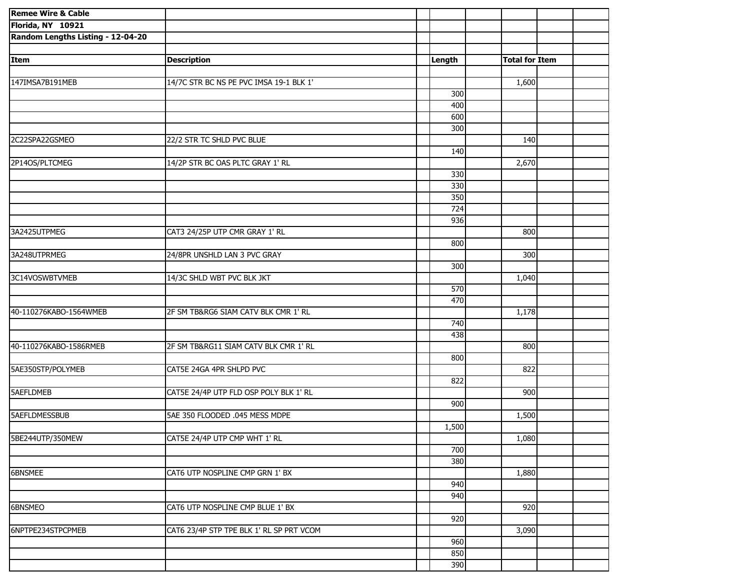| <b>Remee Wire &amp; Cable</b>     |                                          |                  |                       |  |
|-----------------------------------|------------------------------------------|------------------|-----------------------|--|
| Florida, NY 10921                 |                                          |                  |                       |  |
| Random Lengths Listing - 12-04-20 |                                          |                  |                       |  |
|                                   |                                          |                  |                       |  |
| Item                              | <b>Description</b>                       | Length           | <b>Total for Item</b> |  |
|                                   |                                          |                  |                       |  |
| 147IMSA7B191MEB                   | 14/7C STR BC NS PE PVC IMSA 19-1 BLK 1'  |                  | 1,600                 |  |
|                                   |                                          | 300              |                       |  |
|                                   |                                          | 400              |                       |  |
|                                   |                                          | 600              |                       |  |
|                                   |                                          | 300              |                       |  |
| 2C22SPA22GSMEO                    | 22/2 STR TC SHLD PVC BLUE                |                  | 140                   |  |
|                                   |                                          | 140              |                       |  |
| 2P14OS/PLTCMEG                    | 14/2P STR BC OAS PLTC GRAY 1' RL         |                  | 2,670                 |  |
|                                   |                                          | 330              |                       |  |
|                                   |                                          | 330              |                       |  |
|                                   |                                          | 350              |                       |  |
|                                   |                                          | $\overline{724}$ |                       |  |
|                                   |                                          | 936              |                       |  |
| 3A2425UTPMEG                      | CAT3 24/25P UTP CMR GRAY 1' RL           |                  | 800                   |  |
|                                   |                                          | 800              |                       |  |
| 3A248UTPRMEG                      | 24/8PR UNSHLD LAN 3 PVC GRAY             |                  | 300                   |  |
| 3C14VOSWBTVMEB                    |                                          | 300              |                       |  |
|                                   | 14/3C SHLD WBT PVC BLK JKT               | 570              | 1,040                 |  |
|                                   |                                          | 470              |                       |  |
| 40-110276KABO-1564WMEB            | 2F SM TB&RG6 SIAM CATV BLK CMR 1' RL     |                  | 1,178                 |  |
|                                   |                                          | 740              |                       |  |
|                                   |                                          | 438              |                       |  |
| 40-110276KABO-1586RMEB            | 2F SM TB&RG11 SIAM CATV BLK CMR 1' RL    |                  | 800                   |  |
|                                   |                                          | 800              |                       |  |
| 5AE350STP/POLYMEB                 | CAT5E 24GA 4PR SHLPD PVC                 |                  | 822                   |  |
|                                   |                                          | 822              |                       |  |
| 5AEFLDMEB                         | CAT5E 24/4P UTP FLD OSP POLY BLK 1' RL   |                  | 900                   |  |
|                                   |                                          | 900              |                       |  |
| 5AEFLDMESSBUB                     | 5AE 350 FLOODED .045 MESS MDPE           |                  | 1,500                 |  |
|                                   |                                          | 1,500            |                       |  |
| 5BE244UTP/350MEW                  | CAT5E 24/4P UTP CMP WHT 1' RL            |                  | 1,080                 |  |
|                                   |                                          | 700              |                       |  |
|                                   |                                          | 380              |                       |  |
| 6BNSMEE                           | CAT6 UTP NOSPLINE CMP GRN 1' BX          |                  | 1,880                 |  |
|                                   |                                          | 940              |                       |  |
|                                   |                                          | 940              |                       |  |
| 6BNSMEO                           | CAT6 UTP NOSPLINE CMP BLUE 1' BX         |                  | 920                   |  |
|                                   |                                          | 920              |                       |  |
| 6NPTPE234STPCPMEB                 | CAT6 23/4P STP TPE BLK 1' RL SP PRT VCOM |                  | 3,090                 |  |
|                                   |                                          | 960              |                       |  |
|                                   |                                          | 850              |                       |  |
|                                   |                                          | 390              |                       |  |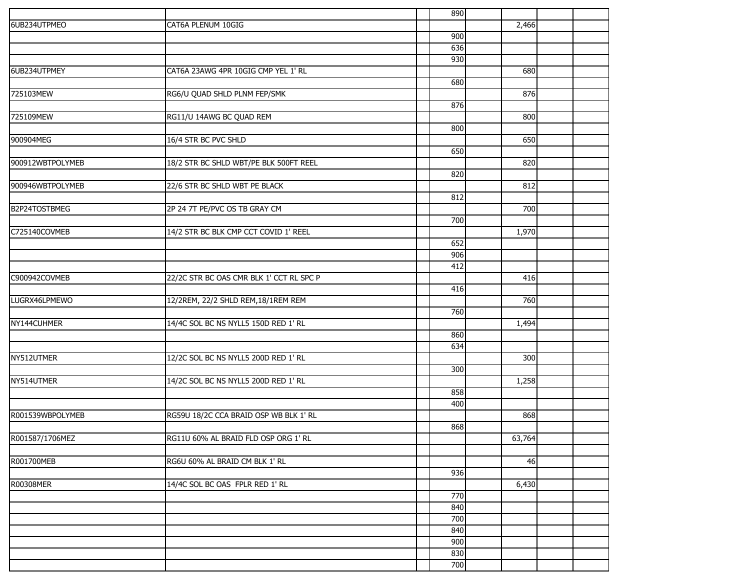|                  |                                          | 890 |        |  |
|------------------|------------------------------------------|-----|--------|--|
| 6UB234UTPMEO     | CAT6A PLENUM 10GIG                       |     | 2,466  |  |
|                  |                                          | 900 |        |  |
|                  |                                          | 636 |        |  |
|                  |                                          | 930 |        |  |
| 6UB234UTPMEY     | CAT6A 23AWG 4PR 10GIG CMP YEL 1' RL      |     | 680    |  |
|                  |                                          | 680 |        |  |
| 725103MEW        | RG6/U QUAD SHLD PLNM FEP/SMK             |     | 876    |  |
|                  |                                          | 876 |        |  |
| 725109MEW        | RG11/U 14AWG BC QUAD REM                 |     | 800    |  |
|                  |                                          | 800 |        |  |
| 900904MEG        | 16/4 STR BC PVC SHLD                     |     | 650    |  |
|                  |                                          | 650 |        |  |
| 900912WBTPOLYMEB | 18/2 STR BC SHLD WBT/PE BLK 500FT REEL   |     | 820    |  |
|                  |                                          | 820 |        |  |
| 900946WBTPOLYMEB | 22/6 STR BC SHLD WBT PE BLACK            |     | 812    |  |
| B2P24TOSTBMEG    |                                          | 812 |        |  |
|                  | 2P 24 7T PE/PVC OS TB GRAY CM            | 700 | 700    |  |
| C725140COVMEB    | 14/2 STR BC BLK CMP CCT COVID 1' REEL    |     |        |  |
|                  |                                          | 652 | 1,970  |  |
|                  |                                          | 906 |        |  |
|                  |                                          | 412 |        |  |
| C900942COVMEB    | 22/2C STR BC OAS CMR BLK 1' CCT RL SPC P |     | 416    |  |
|                  |                                          | 416 |        |  |
| LUGRX46LPMEWO    | 12/2REM, 22/2 SHLD REM, 18/1REM REM      |     | 760    |  |
|                  |                                          | 760 |        |  |
| NY144CUHMER      | 14/4C SOL BC NS NYLL5 150D RED 1' RL     |     | 1,494  |  |
|                  |                                          | 860 |        |  |
|                  |                                          | 634 |        |  |
| NY512UTMER       | 12/2C SOL BC NS NYLL5 200D RED 1' RL     |     | 300    |  |
|                  |                                          | 300 |        |  |
| NY514UTMER       | 14/2C SOL BC NS NYLL5 200D RED 1' RL     |     | 1,258  |  |
|                  |                                          | 858 |        |  |
|                  |                                          | 400 |        |  |
| R001539WBPOLYMEB | RG59U 18/2C CCA BRAID OSP WB BLK 1' RL   |     | 868    |  |
|                  |                                          | 868 |        |  |
| R001587/1706MEZ  | RG11U 60% AL BRAID FLD OSP ORG 1' RL     |     | 63,764 |  |
|                  |                                          |     |        |  |
| R001700MEB       | RG6U 60% AL BRAID CM BLK 1' RL           |     | 46     |  |
|                  |                                          | 936 |        |  |
| R00308MER        | 14/4C SOL BC OAS FPLR RED 1' RL          |     | 6,430  |  |
|                  |                                          | 770 |        |  |
|                  |                                          | 840 |        |  |
|                  |                                          | 700 |        |  |
|                  |                                          | 840 |        |  |
|                  |                                          | 900 |        |  |
|                  |                                          | 830 |        |  |
|                  |                                          | 700 |        |  |